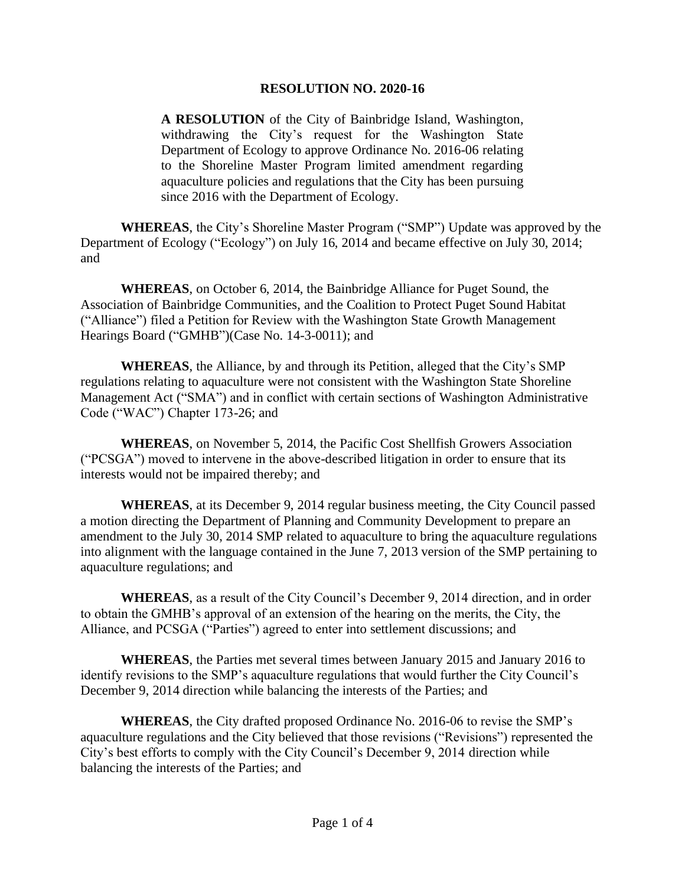## **RESOLUTION NO. 2020-16**

**A RESOLUTION** of the City of Bainbridge Island, Washington, withdrawing the City's request for the Washington State Department of Ecology to approve Ordinance No. 2016-06 relating to the Shoreline Master Program limited amendment regarding aquaculture policies and regulations that the City has been pursuing since 2016 with the Department of Ecology.

**WHEREAS**, the City's Shoreline Master Program ("SMP") Update was approved by the Department of Ecology ("Ecology") on July 16, 2014 and became effective on July 30, 2014; and

**WHEREAS**, on October 6, 2014, the Bainbridge Alliance for Puget Sound, the Association of Bainbridge Communities, and the Coalition to Protect Puget Sound Habitat ("Alliance") filed a Petition for Review with the Washington State Growth Management Hearings Board ("GMHB")(Case No. 14-3-0011); and

**WHEREAS**, the Alliance, by and through its Petition, alleged that the City's SMP regulations relating to aquaculture were not consistent with the Washington State Shoreline Management Act ("SMA") and in conflict with certain sections of Washington Administrative Code ("WAC") Chapter 173-26; and

**WHEREAS**, on November 5, 2014, the Pacific Cost Shellfish Growers Association ("PCSGA") moved to intervene in the above-described litigation in order to ensure that its interests would not be impaired thereby; and

**WHEREAS**, at its December 9, 2014 regular business meeting, the City Council passed a motion directing the Department of Planning and Community Development to prepare an amendment to the July 30, 2014 SMP related to aquaculture to bring the aquaculture regulations into alignment with the language contained in the June 7, 2013 version of the SMP pertaining to aquaculture regulations; and

**WHEREAS**, as a result of the City Council's December 9, 2014 direction, and in order to obtain the GMHB's approval of an extension of the hearing on the merits, the City, the Alliance, and PCSGA ("Parties") agreed to enter into settlement discussions; and

**WHEREAS**, the Parties met several times between January 2015 and January 2016 to identify revisions to the SMP's aquaculture regulations that would further the City Council's December 9, 2014 direction while balancing the interests of the Parties; and

**WHEREAS**, the City drafted proposed Ordinance No. 2016-06 to revise the SMP's aquaculture regulations and the City believed that those revisions ("Revisions") represented the City's best efforts to comply with the City Council's December 9, 2014 direction while balancing the interests of the Parties; and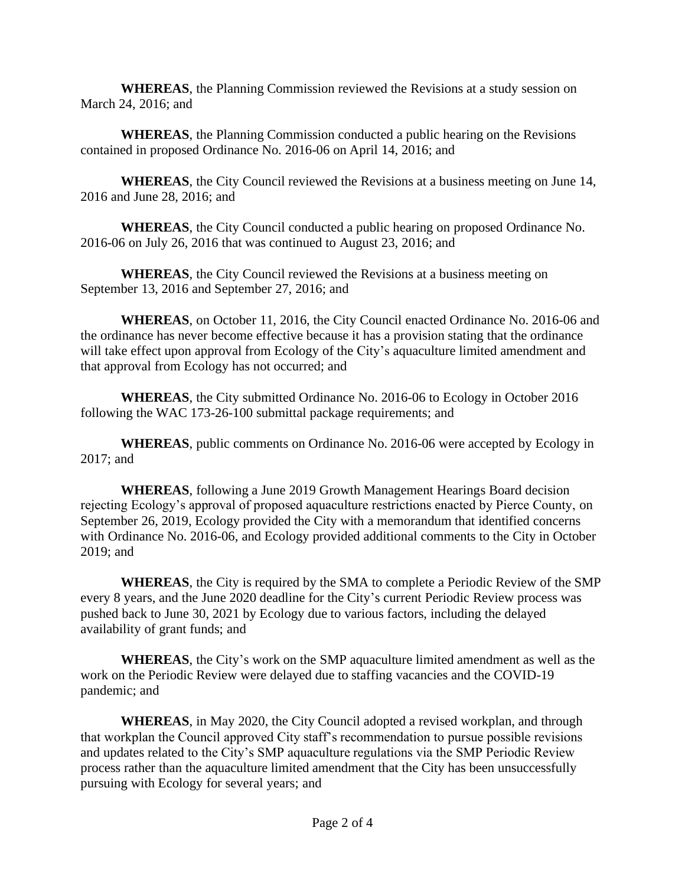**WHEREAS**, the Planning Commission reviewed the Revisions at a study session on March 24, 2016; and

**WHEREAS**, the Planning Commission conducted a public hearing on the Revisions contained in proposed Ordinance No. 2016-06 on April 14, 2016; and

**WHEREAS**, the City Council reviewed the Revisions at a business meeting on June 14, 2016 and June 28, 2016; and

**WHEREAS**, the City Council conducted a public hearing on proposed Ordinance No. 2016-06 on July 26, 2016 that was continued to August 23, 2016; and

**WHEREAS**, the City Council reviewed the Revisions at a business meeting on September 13, 2016 and September 27, 2016; and

**WHEREAS**, on October 11, 2016, the City Council enacted Ordinance No. 2016-06 and the ordinance has never become effective because it has a provision stating that the ordinance will take effect upon approval from Ecology of the City's aquaculture limited amendment and that approval from Ecology has not occurred; and

**WHEREAS**, the City submitted Ordinance No. 2016-06 to Ecology in October 2016 following the WAC 173-26-100 submittal package requirements; and

**WHEREAS**, public comments on Ordinance No. 2016-06 were accepted by Ecology in 2017; and

**WHEREAS**, following a June 2019 Growth Management Hearings Board decision rejecting Ecology's approval of proposed aquaculture restrictions enacted by Pierce County, on September 26, 2019, Ecology provided the City with a memorandum that identified concerns with Ordinance No. 2016-06, and Ecology provided additional comments to the City in October 2019; and

**WHEREAS**, the City is required by the SMA to complete a Periodic Review of the SMP every 8 years, and the June 2020 deadline for the City's current Periodic Review process was pushed back to June 30, 2021 by Ecology due to various factors, including the delayed availability of grant funds; and

**WHEREAS**, the City's work on the SMP aquaculture limited amendment as well as the work on the Periodic Review were delayed due to staffing vacancies and the COVID-19 pandemic; and

**WHEREAS**, in May 2020, the City Council adopted a revised workplan, and through that workplan the Council approved City staff's recommendation to pursue possible revisions and updates related to the City's SMP aquaculture regulations via the SMP Periodic Review process rather than the aquaculture limited amendment that the City has been unsuccessfully pursuing with Ecology for several years; and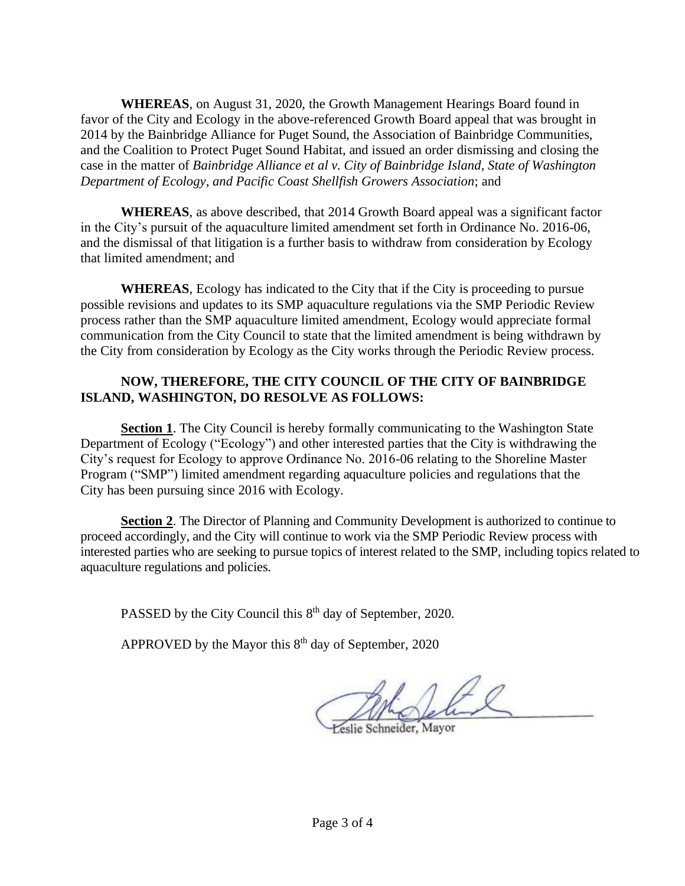**WHEREAS**, on August 31, 2020, the Growth Management Hearings Board found in favor of the City and Ecology in the above-referenced Growth Board appeal that was brought in 2014 by the Bainbridge Alliance for Puget Sound, the Association of Bainbridge Communities, and the Coalition to Protect Puget Sound Habitat, and issued an order dismissing and closing the case in the matter of *Bainbridge Alliance et al v. City of Bainbridge Island, State of Washington Department of Ecology, and Pacific Coast Shellfish Growers Association*; and

**WHEREAS**, as above described, that 2014 Growth Board appeal was a significant factor in the City's pursuit of the aquaculture limited amendment set forth in Ordinance No. 2016-06, and the dismissal of that litigation is a further basis to withdraw from consideration by Ecology that limited amendment; and

**WHEREAS**, Ecology has indicated to the City that if the City is proceeding to pursue possible revisions and updates to its SMP aquaculture regulations via the SMP Periodic Review process rather than the SMP aquaculture limited amendment, Ecology would appreciate formal communication from the City Council to state that the limited amendment is being withdrawn by the City from consideration by Ecology as the City works through the Periodic Review process.

## **NOW, THEREFORE, THE CITY COUNCIL OF THE CITY OF BAINBRIDGE ISLAND, WASHINGTON, DO RESOLVE AS FOLLOWS:**

**Section 1**. The City Council is hereby formally communicating to the Washington State Department of Ecology ("Ecology") and other interested parties that the City is withdrawing the City's request for Ecology to approve Ordinance No. 2016-06 relating to the Shoreline Master Program ("SMP") limited amendment regarding aquaculture policies and regulations that the City has been pursuing since 2016 with Ecology.

**Section 2.** The Director of Planning and Community Development is authorized to continue to proceed accordingly, and the City will continue to work via the SMP Periodic Review process with interested parties who are seeking to pursue topics of interest related to the SMP, including topics related to aquaculture regulations and policies.

PASSED by the City Council this 8<sup>th</sup> day of September, 2020.

APPROVED by the Mayor this  $8<sup>th</sup>$  day of September, 2020

eslie Schneider, Mayor